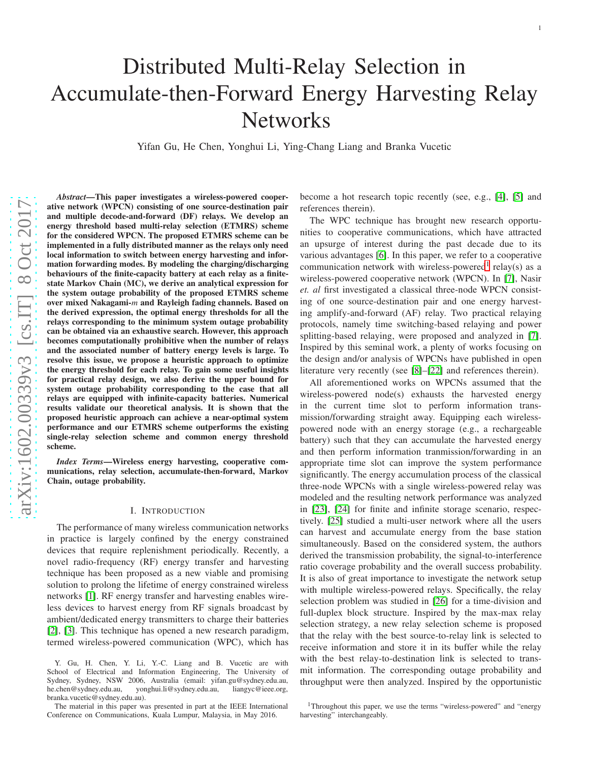# Distributed Multi-Relay Selection in Accumulate-then-Forward Energy Harvesting Relay **Networks**

Yifan Gu, He Chen, Yonghui Li, Ying-Chang Liang and Branka Vucetic

*Abstract*—This paper investigates a wireless-powered cooperative network (WPCN) consisting of one source-destination pair and multiple decode-and-forward (DF) relays. We develop an energy threshold based multi-relay selection (ETMRS) scheme for the considered WPCN. The proposed ETMRS scheme can be implemented in a fully distributed manner as the relays only need local information to switch between energy harvesting and information forwarding modes. By modeling the charging/discharging behaviours of the finite-capacity battery at each relay as a finitestate Markov Chain (MC), we derive an analytical expression for the system outage probability of the proposed ETMRS scheme over mixed Nakagami-*m* and Rayleigh fading channels. Based on the derived expression, the optimal energy thresholds for all the relays corresponding to the minimum system outage probability can be obtained via an exhaustive search. However, this approach becomes computationally prohibitive when the number of relays and the associated number of battery energy levels is large. To resolve this issue, we propose a heuristic approach to optimize the energy threshold for each relay. To gain some useful insights for practical relay design, we also derive the upper bound fo r system outage probability corresponding to the case that al l relays are equipped with infinite-capacity batteries. Numerical results validate our theoretical analysis. It is shown that the proposed heuristic approach can achieve a near-optimal system performance and our ETMRS scheme outperforms the existing single-relay selection scheme and common energy threshold scheme.

*Index Terms*—Wireless energy harvesting, cooperative communications, relay selection, accumulate-then-forward, Markov Chain, outage probability.

# I. INTRODUCTION

The performance of many wireless communication networks in practice is largely confined by the energy constrained devices that require replenishment periodically. Recently, a novel radio-frequency (RF) energy transfer and harvesting technique has been proposed as a new viable and promising solution to prolong the lifetime of energy constrained wireless networks [\[1\]](#page-10-0). RF energy transfer and harvesting enables wireless devices to harvest energy from RF signals broadcast by ambient/dedicated energy transmitters to charge their batteries [\[2\]](#page-10-1), [\[3\]](#page-10-2). This technique has opened a new research paradigm, termed wireless-powered communication (WPC), which has

become a hot research topic recently (see, e.g., [\[4\]](#page-10-3), [\[5\]](#page-10-4) and references therein).

1

The WPC technique has brought new research opportunities to cooperative communications, which have attracted an upsurge of interest during the past decade due to its various advantages [\[6\]](#page-10-5). In this paper, we refer to a cooperative communication network with wireless-powered<sup>[1](#page-0-0)</sup> relay(s) as a wireless-powered cooperative network (WPCN). In [\[7\]](#page-10-6), Nasir *et. al* first investigated a classical three-node WPCN consisting of one source-destination pair and one energy harvesting amplify-and-forward (AF) relay. Two practical relaying protocols, namely time switching-based relaying and power splitting-based relaying, were proposed and analyzed in [\[7\]](#page-10-6). Inspired by this seminal work, a plenty of works focusing on the design and/or analysis of WPCNs have published in open literature very recently (see [\[8\]](#page-10-7)–[\[22\]](#page-11-0) and references therein).

All aforementioned works on WPCNs assumed that the wireless-powered node(s) exhausts the harvested energy in the current time slot to perform information transmission/forwarding straight away. Equipping each wirelesspowered node with an energy storage (e.g., a rechargeable battery) such that they can accumulate the harvested energy and then perform information tranmission/forwarding in an appropriate time slot can improve the system performance significantly. The energy accumulation process of the classical three-node WPCNs with a single wireless-powered relay was modeled and the resulting network performance was analyzed in [\[23\]](#page-11-1), [\[24\]](#page-11-2) for finite and infinite storage scenario, respec tively. [\[25\]](#page-11-3) studied a multi-user network where all the user s can harvest and accumulate energy from the base station simultaneously. Based on the considered system, the author s derived the transmission probability, the signal-to-interference ratio coverage probability and the overall success probability. It is also of great importance to investigate the network setup with multiple wireless-powered relays. Specifically, the relay selection problem was studied in [\[26\]](#page-11-4) for a time-division an d full-duplex block structure. Inspired by the max-max relay selection strategy, a new relay selection scheme is propose d that the relay with the best source-to-relay link is selected to receive information and store it in its buffer while the relay with the best relay-to-destination link is selected to transmit information. The corresponding outage probability and throughput were then analyzed. Inspired by the opportunistic

Y. Gu, H. Chen, Y. Li, Y.-C. Liang and B. Vucetic are with School of Electrical and Information Engineering, The University of Sydney, Sydney, NSW 2006, Australia (email: yifan.gu@sydney.edu.au, he.chen@sydney.edu.au, yonghui.li@sydney.edu.au, liangyc@ieee.org, branka.vucetic@sydney.edu.au).

The material in this paper was presented in part at the IEEE International Conference on Communications, Kuala Lumpur, Malaysia, in May 2016.

<span id="page-0-0"></span><sup>&</sup>lt;sup>1</sup>Throughout this paper, we use the terms "wireless-powered" and "energy harvesting" interchangeably.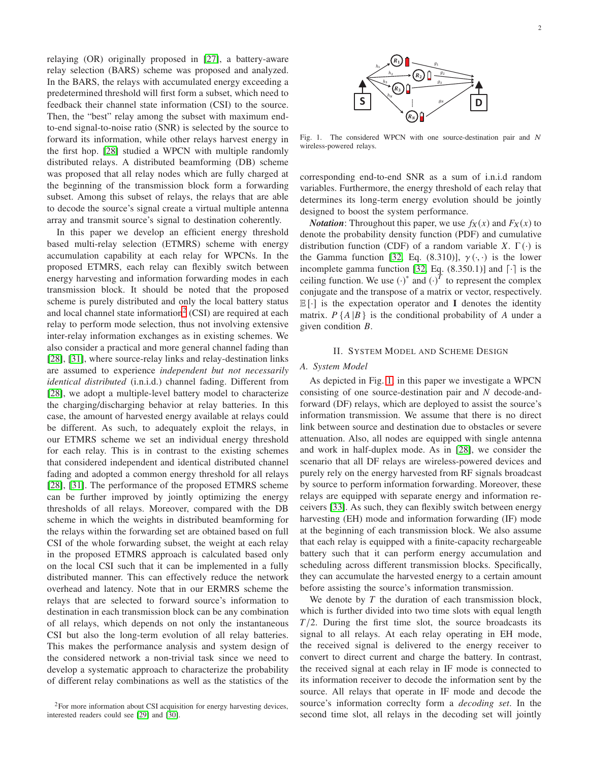relaying (OR) originally proposed in [\[27\]](#page-11-5), a battery-aware relay selection (BARS) scheme was proposed and analyzed. In the BARS, the relays with accumulated energy exceeding a predetermined threshold will first form a subset, which need to feedback their channel state information (CSI) to the source. Then, the "best" relay among the subset with maximum endto-end signal-to-noise ratio (SNR) is selected by the source to forward its information, while other relays harvest energy in the first hop. [\[28\]](#page-11-6) studied a WPCN with multiple randomly distributed relays. A distributed beamforming (DB) scheme was proposed that all relay nodes which are fully charged at the beginning of the transmission block form a forwarding subset. Among this subset of relays, the relays that are able to decode the source's signal create a virtual multiple antenna array and transmit source's signal to destination coherently.

In this paper we develop an efficient energy threshold based multi-relay selection (ETMRS) scheme with energy accumulation capability at each relay for WPCNs. In the proposed ETMRS, each relay can flexibly switch between energy harvesting and information forwarding modes in each transmission block. It should be noted that the proposed scheme is purely distributed and only the local battery status and local channel state information<sup>[2](#page-1-0)</sup> (CSI) are required at each relay to perform mode selection, thus not involving extensive inter-relay information exchanges as in existing schemes. We also consider a practical and more general channel fading than [\[28\]](#page-11-6), [\[31\]](#page-11-7), where source-relay links and relay-destination links are assumed to experience *independent but not necessarily identical distributed* (i.n.i.d.) channel fading. Different from [\[28\]](#page-11-6), we adopt a multiple-level battery model to characterize the charging/discharging behavior at relay batteries. In this case, the amount of harvested energy available at relays could be different. As such, to adequately exploit the relays, in our ETMRS scheme we set an individual energy threshold for each relay. This is in contrast to the existing schemes that considered independent and identical distributed channel fading and adopted a common energy threshold for all relays [\[28\]](#page-11-6), [\[31\]](#page-11-7). The performance of the proposed ETMRS scheme can be further improved by jointly optimizing the energy thresholds of all relays. Moreover, compared with the DB scheme in which the weights in distributed beamforming for the relays within the forwarding set are obtained based on full CSI of the whole forwarding subset, the weight at each relay in the proposed ETMRS approach is calculated based only on the local CSI such that it can be implemented in a fully distributed manner. This can effectively reduce the network overhead and latency. Note that in our ERMRS scheme the relays that are selected to forward source's information to destination in each transmission block can be any combination of all relays, which depends on not only the instantaneous CSI but also the long-term evolution of all relay batteries. This makes the performance analysis and system design of the considered network a non-trivial task since we need to develop a systematic approach to characterize the probability of different relay combinations as well as the statistics of the



<span id="page-1-1"></span>Fig. 1. The considered WPCN with one source-destination pair and  $N$ wireless-powered relays.

corresponding end-to-end SNR as a sum of i.n.i.d random variables. Furthermore, the energy threshold of each relay that determines its long-term energy evolution should be jointly designed to boost the system performance.

*Notation*: Throughout this paper, we use  $f_X(x)$  and  $F_X(x)$  to denote the probability density function (PDF) and cumulative distribution function (CDF) of a random variable *<sup>X</sup>*. <sup>Γ</sup> (·) is the Gamma function [\[32,](#page-11-10) Eq. (8.310)],  $\gamma(\cdot, \cdot)$  is the lower incomplete gamma function [\[32,](#page-11-10) Eq.  $(8.350.1)$ ] and  $\lceil \cdot \rceil$  is the ceiling function. We use  $(\cdot)^{\tau}$  and  $(\cdot)^{\tau}$  to represent the complex conjugate and the transpose of a matrix or vector, respectively.  $\mathbb{E}[\cdot]$  is the expectation operator and **I** denotes the identity matrix.  $P\{A|B\}$  is the conditional probability of *A* under a given condition *B*.

## II. SYSTEM MODEL AND SCHEME DESIGN

## *A. System Model*

As depicted in Fig. [1,](#page-1-1) in this paper we investigate a WPCN consisting of one source-destination pair and *N* decode-andforward (DF) relays, which are deployed to assist the source's information transmission. We assume that there is no direct link between source and destination due to obstacles or severe attenuation. Also, all nodes are equipped with single antenna and work in half-duplex mode. As in [\[28\]](#page-11-6), we consider the scenario that all DF relays are wireless-powered devices and purely rely on the energy harvested from RF signals broadcast by source to perform information forwarding. Moreover, these relays are equipped with separate energy and information receivers [\[33\]](#page-11-11). As such, they can flexibly switch between energy harvesting (EH) mode and information forwarding (IF) mode at the beginning of each transmission block. We also assume that each relay is equipped with a finite-capacity rechargeable battery such that it can perform energy accumulation and scheduling across different transmission blocks. Specifically, they can accumulate the harvested energy to a certain amount before assisting the source's information transmission.

We denote by *T* the duration of each transmission block, which is further divided into two time slots with equal length *T*/2. During the first time slot, the source broadcasts its signal to all relays. At each relay operating in EH mode, the received signal is delivered to the energy receiver to convert to direct current and charge the battery. In contrast, the received signal at each relay in IF mode is connected to its information receiver to decode the information sent by the source. All relays that operate in IF mode and decode the source's information correclty form a *decoding set*. In the second time slot, all relays in the decoding set will jointly

<span id="page-1-0"></span><sup>&</sup>lt;sup>2</sup>For more information about CSI acquisition for energy harvesting devices, interested readers could see [\[29\]](#page-11-8) and [\[30\]](#page-11-9).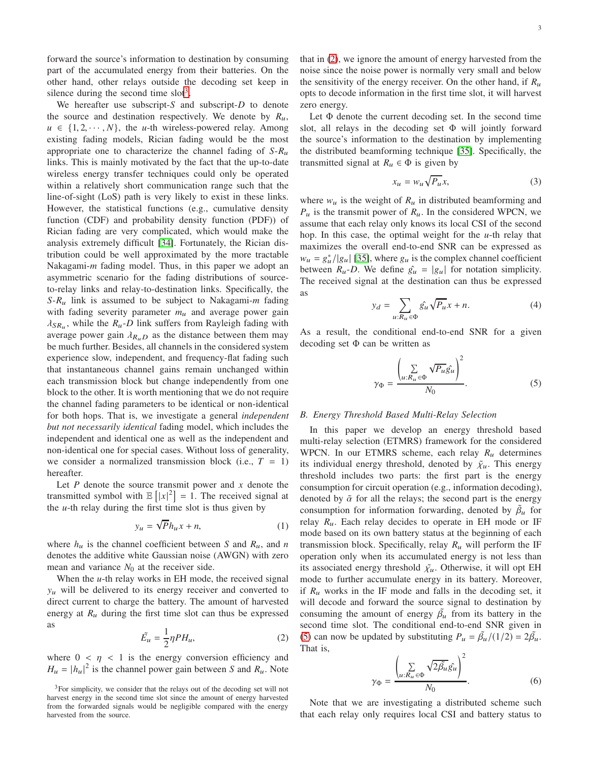forward the source's information to destination by consuming part of the accumulated energy from their batteries. On the other hand, other relays outside the decoding set keep in silence during the second time  $slot<sup>3</sup>$  $slot<sup>3</sup>$  $slot<sup>3</sup>$ .

We hereafter use subscript-*S* and subscript-*D* to denote the source and destination respectively. We denote by  $R_u$ ,  $u \in \{1, 2, \dots, N\}$ , the *u*-th wireless-powered relay. Among existing fading models, Rician fading would be the most appropriate one to characterize the channel fading of *S*-*R*<sup>u</sup> links. This is mainly motivated by the fact that the up-to-date wireless energy transfer techniques could only be operated within a relatively short communication range such that the line-of-sight (LoS) path is very likely to exist in these links. However, the statistical functions (e.g., cumulative density function (CDF) and probability density function (PDF)) of Rician fading are very complicated, which would make the analysis extremely difficult [\[34\]](#page-11-12). Fortunately, the Rician distribution could be well approximated by the more tractable Nakagami-*m* fading model. Thus, in this paper we adopt an asymmetric scenario for the fading distributions of sourceto-relay links and relay-to-destination links. Specifically, the *S*-*R*<sup>u</sup> link is assumed to be subject to Nakagami-*m* fading with fading severity parameter  $m_u$  and average power gain  $\lambda_{SR_u}$ , while the  $R_u$ -D link suffers from Rayleigh fading with average power gain  $\lambda_{R,D}$  as the distance between them may be much further. Besides, all channels in the considered system experience slow, independent, and frequency-flat fading such that instantaneous channel gains remain unchanged within each transmission block but change independently from one block to the other. It is worth mentioning that we do not require the channel fading parameters to be identical or non-identical for both hops. That is, we investigate a general *independent but not necessarily identical* fading model, which includes the independent and identical one as well as the independent and non-identical one for special cases. Without loss of generality, we consider a normalized transmission block (i.e.,  $T = 1$ ) hereafter.

Let *P* denote the source transmit power and *x* denote the transmitted symbol with  $\mathbb{E}[|x|^2] = 1$ . The received signal at the *u*-th relay during the first time slot is thus given by

$$
y_u = \sqrt{P}h_ux + n,\tag{1}
$$

where  $h_u$  is the channel coefficient between *S* and  $R_u$ , and *n* denotes the additive white Gaussian noise (AWGN) with zero mean and variance  $N_0$  at the receiver side.

When the *u*-th relay works in EH mode, the received signal  $y_u$  will be delivered to its energy receiver and converted to direct current to charge the battery. The amount of harvested energy at  $R_u$  during the first time slot can thus be expressed as

<span id="page-2-1"></span>
$$
\tilde{E}_u = \frac{1}{2} \eta P H_u,\tag{2}
$$

where  $0 < \eta < 1$  is the energy conversion efficiency and  $H_u = |h_u|^2$  is the channel power gain between *S* and  $R_u$ . Note

that in [\(2\)](#page-2-1), we ignore the amount of energy harvested from the noise since the noise power is normally very small and below the sensitivity of the energy receiver. On the other hand, if  $R_u$ opts to decode information in the first time slot, it will harvest zero energy.

Let  $\Phi$  denote the current decoding set. In the second time slot, all relays in the decoding set  $\Phi$  will jointly forward the source's information to the destination by implementing the distributed beamforming technique [\[35\]](#page-11-13). Specifically, the transmitted signal at  $R_u \in \Phi$  is given by

$$
x_u = w_u \sqrt{P_u} x,\tag{3}
$$

where  $w_u$  is the weight of  $R_u$  in distributed beamforming and  $P_u$  is the transmit power of  $R_u$ . In the considered WPCN, we assume that each relay only knows its local CSI of the second hop. In this case, the optimal weight for the *u*-th relay that maximizes the overall end-to-end SNR can be expressed as  $w_u = g_u^*/|g_u|$  [\[35\]](#page-11-13), where  $g_u$  is the complex channel coefficient between  $R_u$ -*D*. We define  $\hat{g}_u = |g_u|$  for notation simplicity. The received signal at the destination can thus be expressed as

$$
y_d = \sum_{u:R_u \in \Phi} \hat{g_u} \sqrt{P_u} x + n.
$$
 (4)

As a result, the conditional end-to-end SNR for a given decoding set  $\Phi$  can be written as

<span id="page-2-2"></span>
$$
\gamma_{\Phi} = \frac{\left(\sum\limits_{u:R_u \in \Phi} \sqrt{P_u} \hat{g_u}\right)^2}{N_0}.
$$
\n(5)

#### *B. Energy Threshold Based Multi-Relay Selection*

In this paper we develop an energy threshold based multi-relay selection (ETMRS) framework for the considered WPCN. In our ETMRS scheme, each relay  $R_u$  determines its individual energy threshold, denoted by  $\tilde{\chi}_u$ . This energy threshold includes two parts: the first part is the energy consumption for circuit operation (e.g., information decoding), denoted by  $\tilde{\alpha}$  for all the relays; the second part is the energy consumption for information forwarding, denoted by  $\tilde{\beta}_u$  for relay  $R_u$ . Each relay decides to operate in EH mode or IF mode based on its own battery status at the beginning of each transmission block. Specifically, relay  $R_u$  will perform the IF operation only when its accumulated energy is not less than its associated energy threshold  $\tilde{\chi}_u$ . Otherwise, it will opt EH mode to further accumulate energy in its battery. Moreover, if  $R_u$  works in the IF mode and falls in the decoding set, it will decode and forward the source signal to destination by consuming the amount of energy  $\tilde{\beta}_u$  from its battery in the second time slot. The conditional end-to-end SNR given in [\(5\)](#page-2-2) can now be updated by substituting  $P_u = \tilde{\beta}_u/(1/2) = 2\tilde{\beta}_u$ . That is,

<span id="page-2-3"></span>
$$
\gamma_{\Phi} = \frac{\left(\sum\limits_{u:R_u \in \Phi} \sqrt{2\tilde{\beta}_u} \hat{g_u}\right)^2}{N_0}.
$$
\n(6)

Note that we are investigating a distributed scheme such that each relay only requires local CSI and battery status to

<span id="page-2-0"></span> $3$ For simplicity, we consider that the relays out of the decoding set will not harvest energy in the second time slot since the amount of energy harvested from the forwarded signals would be negligible compared with the energy harvested from the source.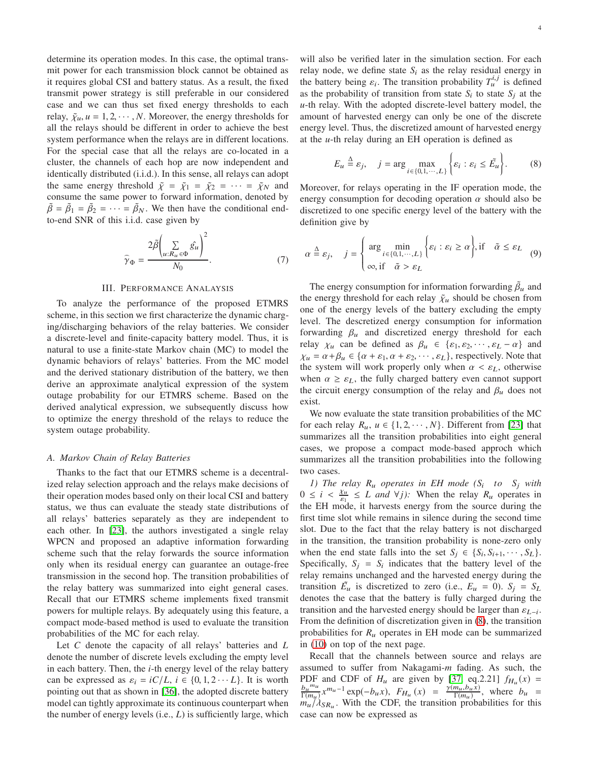determine its operation modes. In this case, the optimal transmit power for each transmission block cannot be obtained as it requires global CSI and battery status. As a result, the fixed transmit power strategy is still preferable in our considered case and we can thus set fixed energy thresholds to each relay,  $\tilde{\chi}_u$ ,  $u = 1, 2, \dots, N$ . Moreover, the energy thresholds for all the relays should be different in order to achieve the best system performance when the relays are in different locations. For the special case that all the relays are co-located in a cluster, the channels of each hop are now independent and identically distributed (i.i.d.). In this sense, all relays can adopt the same energy threshold  $\tilde{\chi} = \tilde{\chi}_1 = \tilde{\chi}_2 = \cdots = \tilde{\chi}_N$  and consume the same power to forward information, denoted by  $\tilde{\beta} = \tilde{\beta}_1 = \tilde{\beta}_2 = \cdots = \tilde{\beta}_N$ . We then have the conditional endto-end SNR of this i.i.d. case given by

$$
\widehat{\gamma}_{\Phi} = \frac{2\widetilde{\beta}\left(\sum\limits_{u:R_u \in \Phi} \widehat{g_u}\right)^2}{N_0}.
$$
\n(7)

#### III. PERFORMANCE ANALAYSIS

<span id="page-3-2"></span>To analyze the performance of the proposed ETMRS scheme, in this section we first characterize the dynamic charging/discharging behaviors of the relay batteries. We consider a discrete-level and finite-capacity battery model. Thus, it is natural to use a finite-state Markov chain (MC) to model the dynamic behaviors of relays' batteries. From the MC model and the derived stationary distribution of the battery, we then derive an approximate analytical expression of the system outage probability for our ETMRS scheme. Based on the derived analytical expression, we subsequently discuss how to optimize the energy threshold of the relays to reduce the system outage probability.

#### *A. Markov Chain of Relay Batteries*

Thanks to the fact that our ETMRS scheme is a decentralized relay selection approach and the relays make decisions of their operation modes based only on their local CSI and battery status, we thus can evaluate the steady state distributions of all relays' batteries separately as they are independent to each other. In [\[23\]](#page-11-1), the authors investigated a single relay WPCN and proposed an adaptive information forwarding scheme such that the relay forwards the source information only when its residual energy can guarantee an outage-free transmission in the second hop. The transition probabilities of the relay battery was summarized into eight general cases. Recall that our ETMRS scheme implements fixed transmit powers for multiple relays. By adequately using this feature, a compact mode-based method is used to evaluate the transition probabilities of the MC for each relay.

Let *C* denote the capacity of all relays' batteries and *L* denote the number of discrete levels excluding the empty level in each battery. Then, the *i*-th energy level of the relay battery can be expressed as  $\varepsilon_i = iC/L$ ,  $i \in \{0, 1, 2 \cdots L\}$ . It is worth pointing out that as shown in [\[36\]](#page-11-14), the adopted discrete battery model can tightly approximate its continuous counterpart when the number of energy levels (i.e., *L*) is sufficiently large, which

will also be verified later in the simulation section. For each relay node, we define state  $S_i$  as the relay residual energy in the battery being  $\varepsilon_i$ . The transition probability  $T_u^{i,j}$  is defined as the probability of transition from state  $S_i$  to state  $S_j$  at the *u*-th relay. With the adopted discrete-level battery model, the amount of harvested energy can only be one of the discrete energy level. Thus, the discretized amount of harvested energy at the *u*-th relay during an EH operation is defined as

<span id="page-3-0"></span>
$$
E_u \stackrel{\Delta}{=} \varepsilon_j, \quad j = \arg \max_{i \in \{0, 1, \cdots, L\}} \left\{ \varepsilon_i : \varepsilon_i \le \tilde{E_u} \right\}.
$$
 (8)

Moreover, for relays operating in the IF operation mode, the energy consumption for decoding operation  $\alpha$  should also be discretized to one specific energy level of the battery with the definition give by

<span id="page-3-1"></span>
$$
\alpha \stackrel{\Delta}{=} \varepsilon_j, \quad j = \begin{cases} \arg \min_{i \in \{0, 1, \cdots, L\}} \left\{ \varepsilon_i : \varepsilon_i \ge \alpha \right\}, & \text{if } \tilde{\alpha} \le \varepsilon_L \\ \infty, & \text{if } \tilde{\alpha} > \varepsilon_L \end{cases} \tag{9}
$$

The energy consumption for information forwarding  $\tilde{\beta}_u$  and the energy threshold for each relay  $\tilde{\chi}_u$  should be chosen from one of the energy levels of the battery excluding the empty level. The descretized energy consumption for information forwarding  $\beta_u$  and discretized energy threshold for each relay  $\chi_u$  can be defined as  $\beta_u \in \{\varepsilon_1, \varepsilon_2, \cdots, \varepsilon_L - \alpha\}$  and  $\chi_u = \alpha + \beta_u \in {\alpha + \varepsilon_1, \alpha + \varepsilon_2, \cdots, \varepsilon_L}$ , respectively. Note that the system will work properly only when  $\alpha < \varepsilon_L$ , otherwise when  $\alpha \geq \varepsilon_L$ , the fully charged battery even cannot support the circuit energy consumption of the relay and  $\beta_u$  does not exist.

We now evaluate the state transition probabilities of the MC for each relay  $R_u$ ,  $u \in \{1, 2, \dots, N\}$ . Different from [\[23\]](#page-11-1) that summarizes all the transition probabilities into eight general cases, we propose a compact mode-based approch which summarizes all the transition probabilities into the following two cases.

*1) The relay R*<sup>u</sup> *operates in EH mode (S*<sup>i</sup> *to S*<sup>j</sup> *with*  $0 \leq i \leq \frac{\chi_u}{\varepsilon_1}$  $\frac{\chi_u}{\varepsilon_1} \leq L$  *and*  $\forall j$ ): When the relay  $R_u$  operates in the EH mode, it harvests energy from the source during the first time slot while remains in silence during the second time slot. Due to the fact that the relay battery is not discharged in the transition, the transition probability is none-zero only when the end state falls into the set  $S_j \in \{S_i, S_{i+1}, \cdots, S_L\}.$ Specifically,  $S_j = S_i$  indicates that the battery level of the relay remains unchanged and the harvested energy during the transition  $\tilde{E}_u$  is discretized to zero (i.e.,  $E_u = 0$ ).  $S_j = S_L$ denotes the case that the battery is fully charged during the transition and the harvested energy should be larger than  $\varepsilon_{L-i}$ . From the definition of discretization given in [\(8\)](#page-3-0), the transition probabilities for  $R_u$  operates in EH mode can be summarized in [\(10\)](#page-4-0) on top of the next page.

Recall that the channels between source and relays are assumed to suffer from Nakagami-*m* fading. As such, the PDF and CDF of  $H_u$  are given by [\[37,](#page-11-15) eq.2.21]  $f_{H_u}(x) =$  $\frac{b_u m_u}{\Gamma(m_u)} x^{m_u-1} \exp(-b_u x), F_{H_u}(x) = \frac{\gamma(m_u, b_u x)}{\Gamma(m_u)},$  where  $b_u = \frac{\gamma(m_u, b_u x)}{\Gamma(m_u)}$  $m_u/\lambda_{SR_u}$ . With the CDF, the transition probabilities for this case can now be expressed as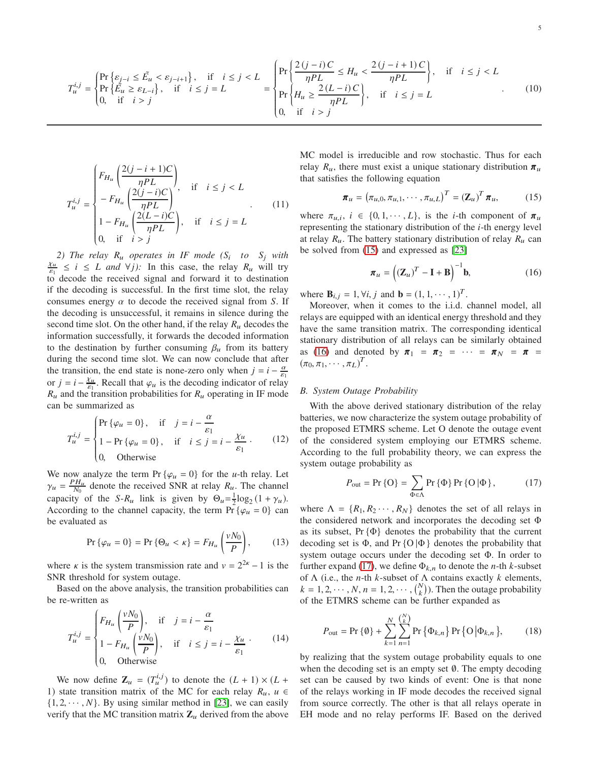<span id="page-4-0"></span>
$$
T_{u}^{i,j} = \begin{cases} \Pr\left\{\varepsilon_{j-i} \le \tilde{E}_{u} < \varepsilon_{j-i+1}\right\}, & \text{if } i \le j < L \\ \Pr\left\{\tilde{E}_{u} \ge \varepsilon_{L-i}\right\}, & \text{if } i \le j = L \end{cases} = \begin{cases} \Pr\left\{\frac{2(j-i)C}{\eta PL} \le H_{u} < \frac{2(j-i+1)C}{\eta PL}\right\}, & \text{if } i \le j < L \\ \Pr\left\{H_{u} \ge \frac{2(L-i)C}{\eta PL}\right\}, & \text{if } i \le j = L \\ 0, & \text{if } i > j \end{cases} \tag{10}
$$

$$
T_{u}^{i,j} = \begin{cases} F_{H_u} \left( \frac{2(j-i+1)C}{\eta PL} \right), & \text{if } i \le j < L \\ -F_{H_u} \left( \frac{2(j-i)C}{\eta PL} \right), & \text{if } i \le j < L \\ 1 - F_{H_u} \left( \frac{2(L-i)C}{\eta PL} \right), & \text{if } i \le j = L \\ 0, & \text{if } i > j \end{cases} \tag{11}
$$

*2) The relay R*<sup>u</sup> *operates in IF mode (S*<sup>i</sup> *to S*<sup>j</sup> *with* χu  $\frac{\chi_u}{\varepsilon_1} \leq i \leq L$  *and*  $\forall j$ ): In this case, the relay  $R_u$  will try to decode the received signal and forward it to destination if the decoding is successful. In the first time slot, the relay consumes energy  $\alpha$  to decode the received signal from *S*. If the decoding is unsuccessful, it remains in silence during the second time slot. On the other hand, if the relay  $R_u$  decodes the information successfully, it forwards the decoded information to the destination by further consuming  $\beta_u$  from its battery during the second time slot. We can now conclude that after the transition, the end state is none-zero only when  $j = i - \frac{\alpha}{\epsilon_1}$ or  $j = i - \frac{\chi_u}{\varepsilon_1}$  $\frac{\chi_u}{\varepsilon_1}$ . Recall that  $\varphi_u$  is the decoding indicator of relay  $R_u$  and the transition probabilities for  $R_u$  operating in IF mode can be summarized as

$$
T_{u}^{i,j} = \begin{cases} \Pr \{ \varphi_u = 0 \}, & \text{if } j = i - \frac{\alpha}{\varepsilon_1} \\ 1 - \Pr \{ \varphi_u = 0 \}, & \text{if } i \le j = i - \frac{\chi_u}{\varepsilon_1} \\ 0, & \text{Otherwise} \end{cases}
$$
(12)

We now analyze the term  $Pr {\varphi_u = 0}$  for the *u*-th relay. Let  $\gamma_u = \frac{PH_u}{N_0}$  denote the received SNR at relay  $R_u$ . The channel capacity of the *S*- $R_u$  link is given by  $\Theta_u = \frac{1}{2} \log_2 \left(1 + \gamma_u\right)$ . According to the channel capacity, the term Pr { $\varphi_u = 0$ } can be evaluated as

<span id="page-4-5"></span>
$$
\Pr\{\varphi_u = 0\} = \Pr\{\Theta_u < \kappa\} = F_{H_u}\left(\frac{vN_0}{P}\right),\tag{13}
$$

where *κ* is the system transmission rate and  $v = 2^{2k} - 1$  is the SNR threshold for system outage.

Based on the above analysis, the transition probabilities can be re-written as

$$
T_{u}^{i,j} = \begin{cases} F_{H_u} \left( \frac{v N_0}{P} \right), & \text{if } j = i - \frac{\alpha}{\varepsilon_1} \\ 1 - F_{H_u} \left( \frac{v N_0}{P} \right), & \text{if } i \le j = i - \frac{\chi_u}{\varepsilon_1} \\ 0, & \text{Otherwise} \end{cases}
$$
(14)

We now define  $\mathbf{Z}_u = (T_u^{i,j})$  to denote the  $(L + 1) \times (L +$ 1) state transition matrix of the MC for each relay  $R_u$ ,  $u \in$  $\{1, 2, \dots, N\}$ . By using similar method in [\[23\]](#page-11-1), we can easily verify that the MC transition matrix  $\mathbf{Z}_u$  derived from the above

MC model is irreducible and row stochastic. Thus for each relay  $R_u$ , there must exist a unique stationary distribution  $\pi_u$ that satisfies the following equation

<span id="page-4-1"></span>
$$
\boldsymbol{\pi}_u = \left(\pi_{u,0}, \pi_{u,1}, \cdots, \pi_{u,L}\right)^T = \left(\mathbf{Z}_u\right)^T \boldsymbol{\pi}_u,\tag{15}
$$

where  $\pi_{u,i}, i \in \{0, 1, \dots, L\}$ , is the *i*-th component of  $\pi_u$ representing the stationary distribution of the *i*-th energy level at relay  $R_u$ . The battery stationary distribution of relay  $R_u$  can be solved from [\(15\)](#page-4-1) and expressed as [\[23\]](#page-11-1)

<span id="page-4-2"></span>
$$
\boldsymbol{\pi}_u = \left( (\mathbf{Z}_u)^T - \mathbf{I} + \mathbf{B} \right)^{-1} \mathbf{b},\tag{16}
$$

where  $B_{i,j} = 1, \forall i, j \text{ and } \mathbf{b} = (1, 1, \dots, 1)^T$ .

Moreover, when it comes to the i.i.d. channel model, all relays are equipped with an identical energy threshold and they have the same transition matrix. The corresponding identical stationary distribution of all relays can be similarly obtained as [\(16\)](#page-4-2) and denoted by  $\pi_1 = \pi_2 = \cdots = \pi_N = \pi$  =  $(\pi_0, \pi_1, \cdots, \pi_L)^T$ .

## *B. System Outage Probability*

With the above derived stationary distribution of the relay batteries, we now characterize the system outage probability of the proposed ETMRS scheme. Let O denote the outage event of the considered system employing our ETMRS scheme. According to the full probability theory, we can express the system outage probability as

<span id="page-4-3"></span>
$$
P_{\text{out}} = \Pr\left\{O\right\} = \sum_{\Phi \in \Lambda} \Pr\left\{\Phi\right\} \Pr\left\{O \,|\Phi\right\},\tag{17}
$$

where  $\Lambda = \{R_1, R_2 \cdots, R_N\}$  denotes the set of all relays in the considered network and incorporates the decoding set Φ as its subset,  $Pr{\Phi}$  denotes the probability that the current decoding set is  $\Phi$ , and Pr {O | $\Phi$  } denotes the probability that system outage occurs under the decoding set Φ. In order to further expand [\(17\)](#page-4-3), we define  $\Phi_{k,n}$  to denote the *n*-th *k*-subset of Λ (i.e., the *n*-th *k*-subset of Λ contains exactly *k* elements,  $k = 1, 2, \cdots, N, n = 1, 2, \cdots, {N \choose k}$ . Then the outage probability of the ETMRS scheme can be further expanded as

<span id="page-4-4"></span>
$$
P_{\text{out}} = \Pr\{\emptyset\} + \sum_{k=1}^{N} \sum_{n=1}^{N} \Pr\{\Phi_{k,n}\} \Pr\{\mathcal{O} | \Phi_{k,n}\},\tag{18}
$$

by realizing that the system outage probability equals to one when the decoding set is an empty set ∅. The empty decoding set can be caused by two kinds of event: One is that none of the relays working in IF mode decodes the received signal from source correctly. The other is that all relays operate in EH mode and no relay performs IF. Based on the derived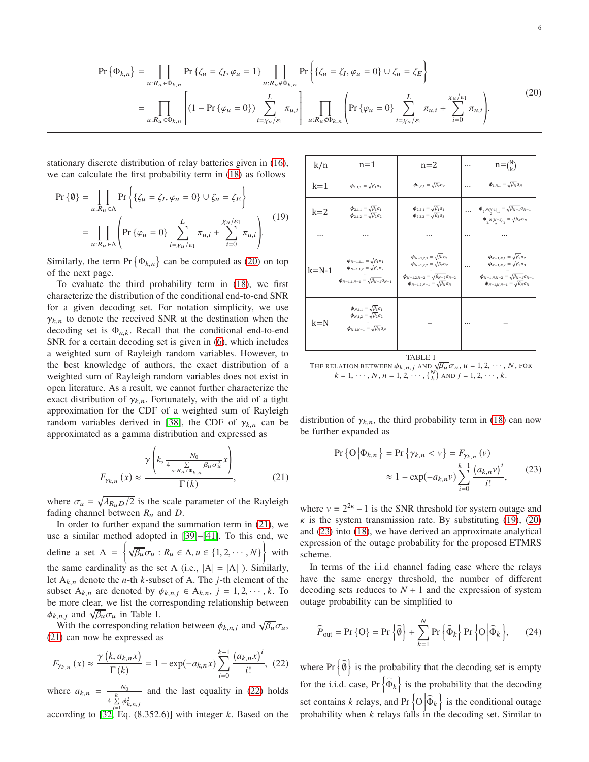<span id="page-5-0"></span>
$$
\Pr\{\Phi_{k,n}\} = \prod_{u:R_u \in \Phi_{k,n}} \Pr\{\zeta_u = \zeta_I, \varphi_u = 1\} \prod_{u:R_u \notin \Phi_{k,n}} \Pr\{\{\zeta_u = \zeta_I, \varphi_u = 0\} \cup \zeta_u = \zeta_E\}
$$
\n
$$
= \prod_{u:R_u \in \Phi_{k,n}} \left[ (1 - \Pr\{\varphi_u = 0\}) \sum_{i = \chi_u/\varepsilon_1}^L \pi_{u,i} \right] \prod_{u:R_u \notin \Phi_{k,n}} \left( \Pr\{\varphi_u = 0\} \sum_{i = \chi_u/\varepsilon_1}^L \pi_{u,i} + \sum_{i=0}^{\chi_u/\varepsilon_1} \pi_{u,i} \right). \tag{20}
$$

stationary discrete distribution of relay batteries given in [\(16\)](#page-4-2), we can calculate the first probability term in [\(18\)](#page-4-4) as follows

<span id="page-5-3"></span>
$$
\Pr\{\emptyset\} = \prod_{u:R_u \in \Lambda} \Pr\left\{ \{\zeta_u = \zeta_I, \varphi_u = 0\} \cup \zeta_u = \zeta_E \right\}
$$
\n
$$
= \prod_{u:R_u \in \Lambda} \left( \Pr\{\varphi_u = 0\} \sum_{i = \chi_u/\varepsilon_1}^L \pi_{u,i} + \sum_{i=0}^{\chi_u/\varepsilon_1} \pi_{u,i} \right). \tag{19}
$$

Similarly, the term Pr  $\{\Phi_{k,n}\}\)$  can be computed as [\(20\)](#page-5-0) on top of the next page.

To evaluate the third probability term in [\(18\)](#page-4-4), we first characterize the distribution of the conditional end-to-end SNR for a given decoding set. For notation simplicity, we use  $\gamma_{k,n}$  to denote the received SNR at the destination when the decoding set is  $\Phi_{n,k}$ . Recall that the conditional end-to-end SNR for a certain decoding set is given in [\(6\)](#page-2-3), which includes a weighted sum of Rayleigh random variables. However, to the best knowledge of authors, the exact distribution of a weighted sum of Rayleigh random variables does not exist in open literature. As a result, we cannot further characterize the exact distribution of  $\gamma_{k,n}$ . Fortunately, with the aid of a tight approximation for the CDF of a weighted sum of Rayleigh random variables derived in [\[38\]](#page-11-16), the CDF of  $\gamma_{k,n}$  can be approximated as a gamma distribution and expressed as

<span id="page-5-1"></span>
$$
F_{\gamma_{k,n}}\left(x\right) \approx \frac{\gamma\left(k, \frac{N_0}{4\sum\limits_{u:R_u \in \Phi_{k,n}} \beta_u \sigma_u^2} x\right)}{\Gamma\left(k\right)},\tag{21}
$$

where  $\sigma_u = \sqrt{\lambda_{R_u D}/2}$  is the scale parameter of the Rayleigh fading channel between  $R_u$  and  $D$ .

In order to further expand the summation term in  $(21)$ , we use a similar method adopted in [\[39\]](#page-11-17)–[\[41\]](#page-11-18). To this end, we define a set  $A = \left\{ \sqrt{\beta_u} \sigma_u : R_u \in \Lambda, u \in \{1, 2, \cdots, N\} \right\}$ with the same cardinality as the set  $\Lambda$  (i.e.,  $|A| = |\Lambda|$ ). Similarly, let Ak,<sup>n</sup> denote the *n*-th *k*-subset of A. The *j*-th element of the subset  $A_{k,n}$  are denoted by  $\phi_{k,n,j} \in A_{k,n}, j = 1, 2, \dots, k$ . To be more clear, we list the corresponding relationship between  $\phi_{k,n,j}$  and  $\sqrt{\beta_u} \sigma_u$  in Table I.

With the corresponding relation between  $\phi_{k,n,j}$  and  $\sqrt{\beta_u} \sigma_u$ , [\(21\)](#page-5-1) can now be expressed as

<span id="page-5-2"></span>
$$
F_{\gamma_{k,n}}(x) \approx \frac{\gamma(k, a_{k,n}x)}{\Gamma(k)} = 1 - \exp(-a_{k,n}x) \sum_{i=0}^{k-1} \frac{(a_{k,n}x)^i}{i!}, \tag{22}
$$

where  $a_{k,n} = \frac{N_0}{k}$  $4 \sum_{j=1}^{k} \phi_{k,n,j}^2$ and the last equality in [\(22\)](#page-5-2) holds

according to [\[32,](#page-11-10) Eq. (8.352.6)] with integer *k*. Based on the

| k/n                                                                                 | $n=1$                                                                                                                                            | $n=2$                                                                                                                                                                                         | $\cdots$  | $n = {N \choose k}$                                                                                                                                                                              |
|-------------------------------------------------------------------------------------|--------------------------------------------------------------------------------------------------------------------------------------------------|-----------------------------------------------------------------------------------------------------------------------------------------------------------------------------------------------|-----------|--------------------------------------------------------------------------------------------------------------------------------------------------------------------------------------------------|
| $k=1$                                                                               | $\phi_{1,1,1} = \sqrt{\beta_1} \sigma_1$                                                                                                         | $\phi_{1,2,1} = \sqrt{\beta_2} \sigma_2$                                                                                                                                                      |           | $\phi_{1,N,1} = \sqrt{\beta_N} \sigma_N$                                                                                                                                                         |
| $k=2$                                                                               | $\phi_{2,1,1}=\sqrt{\beta_1}\sigma_1$<br>$\phi_{2,1,2} = \sqrt{\beta_2} \sigma_2$                                                                | $\phi_{2,2,1}=\sqrt{\beta_1}\sigma_1$<br>$\phi_{2,2,2} = \sqrt{\beta_3} \sigma_3$                                                                                                             |           | $\phi_{2,\frac{N(N-1)}{2},1} = \sqrt{\beta_{N-1}} \sigma_{N-1}$<br>$\phi_{2, \frac{N(N-1)}{N}, 2} = \sqrt{\beta_N} \sigma_N$                                                                     |
|                                                                                     |                                                                                                                                                  |                                                                                                                                                                                               |           |                                                                                                                                                                                                  |
| $k=N-1$                                                                             | $\phi_{N-1,1,1} = \sqrt{\beta_1} \sigma_1$<br>$\phi_{N-1,1,2} = \sqrt{\beta_2} \sigma_2$<br>$\phi_{N-1,1,N-1} = \sqrt{\beta_{N-1}} \sigma_{N-1}$ | $\phi_{N-1,2,1}=\sqrt{\beta_1}\sigma_1$<br>$\phi_{N-1,2,2} = \sqrt{\beta_2} \sigma_2$<br>$\phi_{N-1,2,N-2} = \sqrt{\beta_{N-2}} \sigma_{N-2}$<br>$\phi_{N-1,2,N-1} = \sqrt{\beta_N} \sigma_N$ | $\ddotsc$ | $\phi_{N-1,N,1} = \sqrt{\beta_2} \sigma_2$<br>$\phi_{N-1,N,2} = \sqrt{\beta_3} \sigma_3$<br>$\phi_{N-1,N,N-2} = \sqrt{\beta_{N-1}} \sigma_{N-1}$<br>$\phi_{N-1,N,N-1} = \sqrt{\beta_N} \sigma_N$ |
| $k=N$                                                                               | $\phi_{N,1,1} = \sqrt{\beta_1} \sigma_1$<br>$\phi_{N,1,2} = \sqrt{\beta_2} \sigma_2$<br>$\phi_{N,1,N-1} = \sqrt{\beta_N} \sigma_N$               |                                                                                                                                                                                               |           |                                                                                                                                                                                                  |
| TABLE I<br>THE RELATION RETWEEN $\phi$ . AND $\sqrt{R}$ $\sigma$ $u = 1, 2, $ M FOR |                                                                                                                                                  |                                                                                                                                                                                               |           |                                                                                                                                                                                                  |

TABLE I<br>The relation between  $\phi_{k,n,j}$  and  $\sqrt{\beta_u} \sigma_u$ ,  $u = 1, 2, \cdots, N$ , for  $k = 1, \dots, N, n = 1, 2, \dots, {N \choose k}$  AND  $j = 1, 2, \dots, k$ .

distribution of  $\gamma_{k,n}$ , the third probability term in [\(18\)](#page-4-4) can now be further expanded as

$$
\Pr\left\{O\left|\Phi_{k,n}\right.\right\} = \Pr\left\{\gamma_{k,n} < v\right\} = F_{\gamma_{k,n}}\left(v\right)
$$
\n
$$
\approx 1 - \exp(-a_{k,n}v) \sum_{i=0}^{k-1} \frac{\left(a_{k,n}v\right)^i}{i!},\tag{23}
$$

<span id="page-5-4"></span>where  $v = 2^{2k} - 1$  is the SNR threshold for system outage and  $\kappa$  is the system transmission rate. By substituting [\(19\)](#page-5-3), [\(20\)](#page-5-0) and [\(23\)](#page-5-4) into [\(18\)](#page-4-4), we have derived an approximate analytical expression of the outage probability for the proposed ETMRS scheme.

In terms of the i.i.d channel fading case where the relays have the same energy threshold, the number of different decoding sets reduces to  $N + 1$  and the expression of system outage probability can be simplified to

<span id="page-5-5"></span>
$$
\widehat{P}_{\text{out}} = \Pr\left\{O\right\} = \Pr\left\{\widehat{\emptyset}\right\} + \sum_{k=1}^{N} \Pr\left\{\widehat{\Phi}_{k}\right\} \Pr\left\{O\left|\widehat{\Phi}_{k}\right\},\qquad(24)
$$

where  $Pr\left\{\widehat{\emptyset}\right\}$  $\}$  is the probability that the decoding set is empty for the i.i.d. case, Pr  $\{\widehat{\Phi}_k\}$  is the probability that the decoding set contains *k* relays, and  $Pr\left\{O\right\}$  $\widehat{\Phi}_k$  is the conditional outage probability when *k* relays falls in the decoding set. Similar to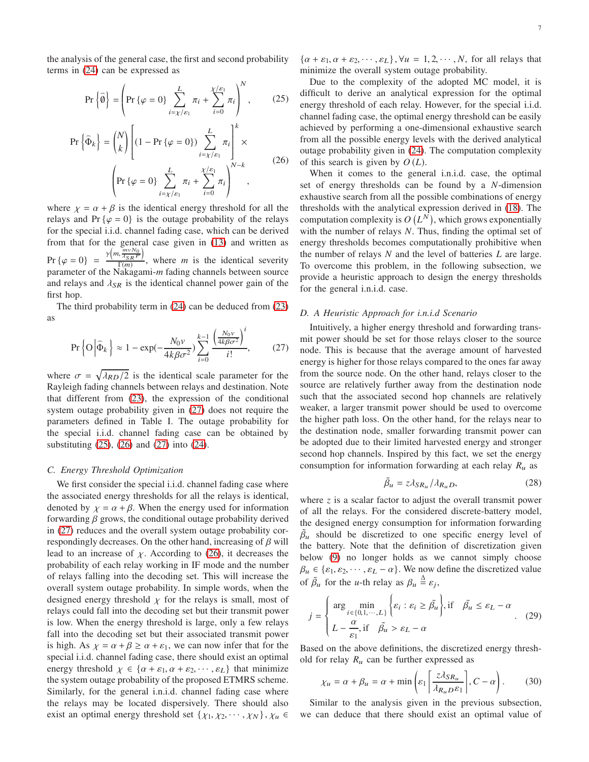the analysis of the general case, the first and second probability terms in [\(24\)](#page-5-5) can be expressed as

$$
\Pr\left\{\widehat{\theta}\right\} = \left(\Pr\left\{\varphi = 0\right\} \sum_{i=\chi/\varepsilon_1}^L \pi_i + \sum_{i=0}^{\chi/\varepsilon_1} \pi_i\right)^N,\tag{25}
$$

 $\mathbf{v}$ 

<span id="page-6-2"></span><span id="page-6-1"></span>
$$
\Pr\left\{\widehat{\Phi}_k\right\} = \binom{N}{k} \left[ (1 - \Pr\left\{\varphi = 0\right\}) \sum_{i = \chi/\varepsilon_1}^L \pi_i \right]^k \times \left[ \Pr\left\{\varphi = 0\right\} \sum_{i = \chi/\varepsilon_1}^L \pi_i + \sum_{i = 0}^{\chi/\varepsilon_1} \pi_i \right)^{N - k}, \tag{26}
$$

where  $\chi = \alpha + \beta$  is the identical energy threshold for all the relays and Pr { $\varphi = 0$ } is the outage probability of the relays for the special i.i.d. channel fading case, which can be derived from that for the general case given in [\(13\)](#page-4-5) and written as  $\Pr \{\varphi = 0\} = \frac{\gamma \left(m, \frac{mvN_0}{\lambda_{SR}P}\right)}{\Gamma(m)}$ Í  $\frac{T_{ASR}P}{\Gamma(m)}$ , where *m* is the identical severity parameter of the Nakagami-*m* fading channels between source and relays and  $\lambda_{SR}$  is the identical channel power gain of the first hop.

The third probability term in [\(24\)](#page-5-5) can be deduced from [\(23\)](#page-5-4) as

<span id="page-6-0"></span>
$$
\Pr\left\{O\left|\widehat{\Phi}_k\right\}\approx 1 - \exp(-\frac{N_0\nu}{4k\beta\sigma^2})\sum_{i=0}^{k-1}\frac{\left(\frac{N_0\nu}{4k\beta\sigma^2}\right)^i}{i!},\tag{27}
$$

where  $\sigma = \sqrt{\lambda_{RD}/2}$  is the identical scale parameter for the Rayleigh fading channels between relays and destination. Note that different from [\(23\)](#page-5-4), the expression of the conditional system outage probability given in [\(27\)](#page-6-0) does not require the parameters defined in Table I. The outage probability for the special i.i.d. channel fading case can be obtained by substituting [\(25\)](#page-6-1), [\(26\)](#page-6-2) and [\(27\)](#page-6-0) into [\(24\)](#page-5-5).

### *C. Energy Threshold Optimization*

We first consider the special i.i.d. channel fading case where the associated energy thresholds for all the relays is identical, denoted by  $\chi = \alpha + \beta$ . When the energy used for information forwarding  $\beta$  grows, the conditional outage probability derived in [\(27\)](#page-6-0) reduces and the overall system outage probability correspondingly decreases. On the other hand, increasing of  $\beta$  will lead to an increase of  $\chi$ . According to [\(26\)](#page-6-2), it decreases the probability of each relay working in IF mode and the number of relays falling into the decoding set. This will increase the overall system outage probability. In simple words, when the designed energy threshold  $\chi$  for the relays is small, most of relays could fall into the decoding set but their transmit power is low. When the energy threshold is large, only a few relays fall into the decoding set but their associated transmit power is high. As  $\chi = \alpha + \beta \ge \alpha + \varepsilon_1$ , we can now infer that for the special i.i.d. channel fading case, there should exist an optimal energy threshold  $\chi \in {\alpha + \varepsilon_1, \alpha + \varepsilon_2, \cdots, \varepsilon_L}$  that minimize the system outage probability of the proposed ETMRS scheme. Similarly, for the general i.n.i.d. channel fading case where the relays may be located dispersively. There should also exist an optimal energy threshold set  $\{\chi_1, \chi_2, \cdots, \chi_N\}, \chi_u \in$   $\{\alpha + \varepsilon_1, \alpha + \varepsilon_2, \cdots, \varepsilon_L\}, \forall u = 1, 2, \cdots, N$ , for all relays that minimize the overall system outage probability.

Due to the complexity of the adopted MC model, it is difficult to derive an analytical expression for the optimal energy threshold of each relay. However, for the special i.i.d. channel fading case, the optimal energy threshold can be easily achieved by performing a one-dimensional exhaustive search from all the possible energy levels with the derived analytical outage probability given in [\(24\)](#page-5-5). The computation complexity of this search is given by *O* (*L*).

When it comes to the general i.n.i.d. case, the optimal set of energy thresholds can be found by a *N*-dimension exhaustive search from all the possible combinations of energy thresholds with the analytical expression derived in [\(18\)](#page-4-4). The computation complexity is  $O(L^N)$ , which grows exponentially with the number of relays *N*. Thus, finding the optimal set of energy thresholds becomes computationally prohibitive when the number of relays *N* and the level of batteries *L* are large. To overcome this problem, in the following subsection, we provide a heuristic approach to design the energy thresholds for the general i.n.i.d. case.

# *D. A Heuristic Approach for i.n.i.d Scenario*

Intuitively, a higher energy threshold and forwarding transmit power should be set for those relays closer to the source node. This is because that the average amount of harvested energy is higher for those relays compared to the ones far away from the source node. On the other hand, relays closer to the source are relatively further away from the destination node such that the associated second hop channels are relatively weaker, a larger transmit power should be used to overcome the higher path loss. On the other hand, for the relays near to the destination node, smaller forwarding transmit power can be adopted due to their limited harvested energy and stronger second hop channels. Inspired by this fact, we set the energy consumption for information forwarding at each relay *R*<sup>u</sup> as

$$
\tilde{\beta}_u = z\lambda_{SR_u}/\lambda_{R_uD},\tag{28}
$$

where *z* is a scalar factor to adjust the overall transmit power of all the relays. For the considered discrete-battery model, the designed energy consumption for information forwarding  $\tilde{\beta}_u$  should be discretized to one specific energy level of the battery. Note that the definition of discretization given below [\(9\)](#page-3-1) no longer holds as we cannot simply choose  $\beta_u \in \{\varepsilon_1, \varepsilon_2, \cdots, \varepsilon_L - \alpha\}$ . We now define the discretized value of  $\tilde{\beta}_u$  for the *u*-th relay as  $\beta_u \stackrel{\Delta}{=} \varepsilon_j$ ,

$$
j = \begin{cases} \arg\min_{i \in \{0, 1, \cdots, L\}} \left\{ \varepsilon_i : \varepsilon_i \ge \tilde{\beta}_u \right\}, \text{if } \tilde{\beta}_u \le \varepsilon_L - \alpha \\ L - \frac{\alpha}{\varepsilon_1}, \text{if } \tilde{\beta}_u > \varepsilon_L - \alpha \end{cases} \tag{29}
$$

Based on the above definitions, the discretized energy threshold for relay  $R_u$  can be further expressed as

$$
\chi_u = \alpha + \beta_u = \alpha + \min\left(\varepsilon_1 \left\lceil \frac{z\lambda_{SR_u}}{\lambda_{R_u D} \varepsilon_1} \right\rceil, C - \alpha\right). \tag{30}
$$

Similar to the analysis given in the previous subsection, we can deduce that there should exist an optimal value of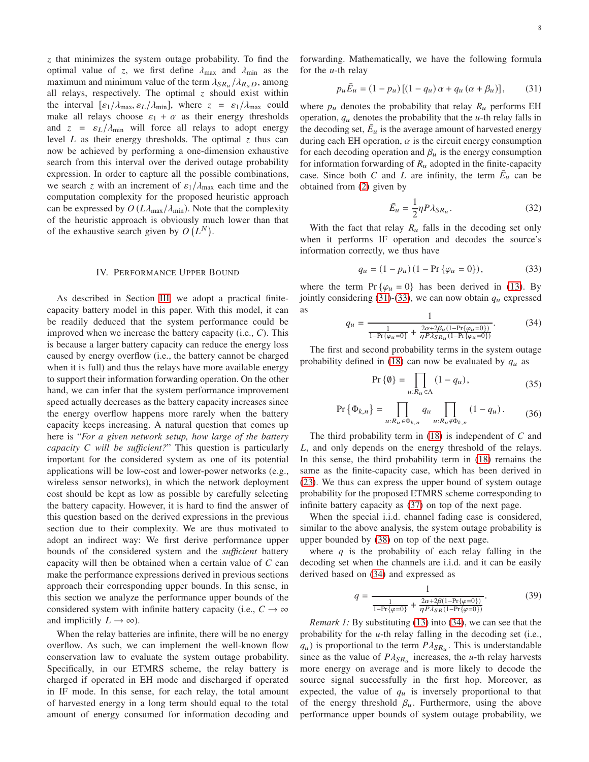*z* that minimizes the system outage probability. To find the optimal value of *z*, we first define  $\lambda_{\text{max}}$  and  $\lambda_{\text{min}}$  as the maximum and minimum value of the term  $\lambda_{SR_u}/\lambda_{R_u}$ , among all relays, respectively. The optimal *z* should exist within the interval  $[\varepsilon_1/\lambda_{\text{max}}, \varepsilon_L/\lambda_{\text{min}}]$ , where  $z = \varepsilon_1/\lambda_{\text{max}}$  could make all relays choose  $\varepsilon_1 + \alpha$  as their energy thresholds and  $z = \varepsilon_L/\lambda_{\text{min}}$  will force all relays to adopt energy level *L* as their energy thresholds. The optimal *z* thus can now be achieved by performing a one-dimension exhaustive search from this interval over the derived outage probability expression. In order to capture all the possible combinations, we search *z* with an increment of  $\varepsilon_1/\lambda_{\text{max}}$  each time and the computation complexity for the proposed heuristic approach can be expressed by  $O(L\lambda_{\text{max}}/\lambda_{\text{min}})$ . Note that the complexity of the heuristic approach is obviously much lower than that of the exhaustive search given by  $O(L^N)$ .

## IV. PERFORMANCE UPPER BOUND

<span id="page-7-3"></span>As described in Section [III,](#page-3-2) we adopt a practical finitecapacity battery model in this paper. With this model, it can be readily deduced that the system performance could be improved when we increase the battery capacity (i.e., *C*). This is because a larger battery capacity can reduce the energy loss caused by energy overflow (i.e., the battery cannot be charged when it is full) and thus the relays have more available energy to support their information forwarding operation. On the other hand, we can infer that the system performance improvement speed actually decreases as the battery capacity increases since the energy overflow happens more rarely when the battery capacity keeps increasing. A natural question that comes up here is "*For a given network setup, how large of the battery capacity C will be sufficient?*" This question is particularly important for the considered system as one of its potential applications will be low-cost and lower-power networks (e.g., wireless sensor networks), in which the network deployment cost should be kept as low as possible by carefully selecting the battery capacity. However, it is hard to find the answer of this question based on the derived expressions in the previous section due to their complexity. We are thus motivated to adopt an indirect way: We first derive performance upper bounds of the considered system and the *sufficient* battery capacity will then be obtained when a certain value of *C* can make the performance expressions derived in previous sections approach their corresponding upper bounds. In this sense, in this section we analyze the performance upper bounds of the considered system with infinite battery capacity (i.e.,  $C \rightarrow \infty$ and implicitly  $L \rightarrow \infty$ ).

When the relay batteries are infinite, there will be no energy overflow. As such, we can implement the well-known flow conservation law to evaluate the system outage probability. Specifically, in our ETMRS scheme, the relay battery is charged if operated in EH mode and discharged if operated in IF mode. In this sense, for each relay, the total amount of harvested energy in a long term should equal to the total amount of energy consumed for information decoding and forwarding. Mathematically, we have the following formula for the *u*-th relay

<span id="page-7-0"></span>
$$
p_{u}\bar{E}_{u} = (1 - p_{u})[(1 - q_{u})\alpha + q_{u}(\alpha + \beta_{u})],
$$
 (31)

where  $p_u$  denotes the probability that relay  $R_u$  performs EH operation, *q*<sup>u</sup> denotes the probability that the *u*-th relay falls in the decoding set,  $\bar{E}_u$  is the average amount of harvested energy during each EH operation,  $\alpha$  is the circuit energy consumption for each decoding operation and  $\beta_u$  is the energy consumption for information forwarding of  $R_u$  adopted in the finite-capacity case. Since both *C* and *L* are infinity, the term  $\bar{E}_u$  can be obtained from [\(2\)](#page-2-1) given by

$$
\bar{E}_u = \frac{1}{2} \eta P \lambda_{SR_u}.
$$
\n(32)

With the fact that relay  $R_u$  falls in the decoding set only when it performs IF operation and decodes the source's information correctly, we thus have

<span id="page-7-1"></span>
$$
q_u = (1 - p_u) (1 - \Pr(\varphi_u = 0)), \tag{33}
$$

where the term  $Pr {\varphi_u = 0}$  has been derived in [\(13\)](#page-4-5). By jointly considering [\(31\)](#page-7-0)-[\(33\)](#page-7-1), we can now obtain  $q_u$  expressed as

<span id="page-7-2"></span>
$$
q_u = \frac{1}{\frac{1}{1 - \Pr\{\varphi_u = 0\}} + \frac{2\alpha + 2\beta_u(1 - \Pr\{\varphi_u = 0\})}{\eta P \lambda_{SR_u}(1 - \Pr\{\varphi_u = 0\})}}.
$$
(34)

The first and second probability terms in the system outage probability defined in [\(18\)](#page-4-4) can now be evaluated by  $q_u$  as

$$
\Pr\{\emptyset\} = \prod_{u:R_u \in \Lambda} (1 - q_u),\tag{35}
$$

$$
\Pr\{\Phi_{k,n}\} = \prod_{u:R_u \in \Phi_{k,n}} q_u \prod_{u:R_u \notin \Phi_{k,n}} (1 - q_u). \tag{36}
$$

The third probability term in [\(18\)](#page-4-4) is independent of *C* and *L*, and only depends on the energy threshold of the relays. In this sense, the third probability term in [\(18\)](#page-4-4) remains the same as the finite-capacity case, which has been derived in [\(23\)](#page-5-4). We thus can express the upper bound of system outage probability for the proposed ETMRS scheme corresponding to infinite battery capacity as [\(37\)](#page-8-0) on top of the next page.

When the special i.i.d. channel fading case is considered, similar to the above analysis, the system outage probability is upper bounded by [\(38\)](#page-8-1) on top of the next page.

where  $q$  is the probability of each relay falling in the decoding set when the channels are i.i.d. and it can be easily derived based on [\(34\)](#page-7-2) and expressed as

$$
q = \frac{1}{\frac{1}{1 - \Pr\{\varphi = 0\}} + \frac{2\alpha + 2\beta(1 - \Pr\{\varphi = 0\})}{\eta P \lambda_{SR}(1 - \Pr\{\varphi = 0\})}}.
$$
(39)

*Remark 1:* By substituting [\(13\)](#page-4-5) into [\(34\)](#page-7-2), we can see that the probability for the *u*-th relay falling in the decoding set (i.e.,  $q_u$ ) is proportional to the term  $P\lambda_{SR_u}$ . This is understandable since as the value of  $P\lambda_{SR_u}$  increases, the *u*-th relay harvests more energy on average and is more likely to decode the source signal successfully in the first hop. Moreover, as expected, the value of  $q_u$  is inversely proportional to that of the energy threshold  $\beta_u$ . Furthermore, using the above performance upper bounds of system outage probability, we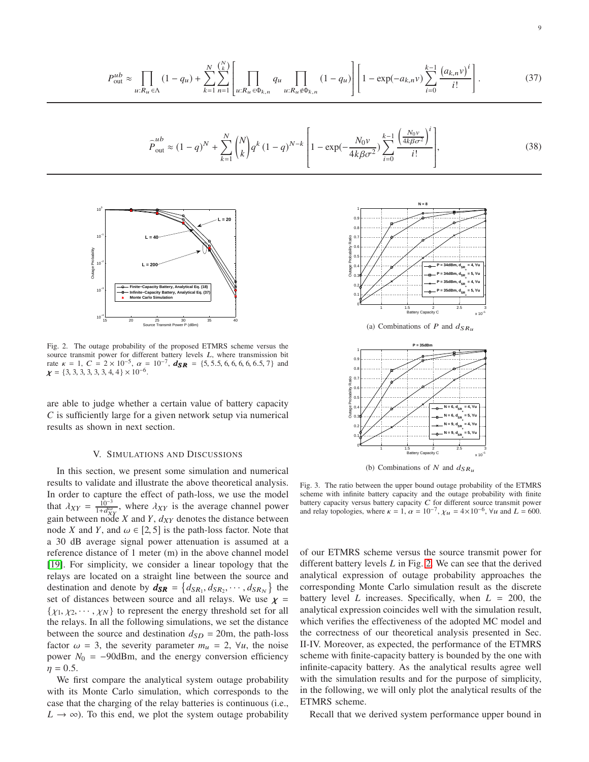<span id="page-8-0"></span>
$$
P_{\text{out}}^{ub} \approx \prod_{u:R_u \in \Lambda} (1 - q_u) + \sum_{k=1}^{N} \sum_{n=1}^{N} \left[ \prod_{u:R_u \in \Phi_{k,n}} q_u \prod_{u:R_u \notin \Phi_{k,n}} (1 - q_u) \right] \left[ 1 - \exp(-a_{k,n}v) \sum_{i=0}^{k-1} \frac{(a_{k,n}v)^i}{i!} \right].
$$
 (37)

$$
\widehat{P}_{\text{out}}^{ub} \approx (1-q)^N + \sum_{k=1}^N \binom{N}{k} q^k (1-q)^{N-k} \left[ 1 - \exp(-\frac{N_0 \nu}{4k \beta \sigma^2}) \sum_{i=0}^{k-1} \frac{\left(\frac{N_0 \nu}{4k \beta \sigma^2}\right)^i}{i!} \right],\tag{38}
$$

<span id="page-8-1"></span>

<span id="page-8-2"></span>Fig. 2. The outage probability of the proposed ETMRS scheme versus the source transmit power for different battery levels L, where transmission bit rate  $\kappa = 1$ ,  $C = 2 \times 10^{-5}$ ,  $\alpha = 10^{-7}$ ,  $\vec{d_{SR}} = \{5, 5.5, 6, 6, 6, 6, 6.5, 7\}$  and  $\chi = \{3, 3, 3, 3, 3, 3, 4, 4\} \times 10^{-6}.$ 

are able to judge whether a certain value of battery capacity *C* is sufficiently large for a given network setup via numerical results as shown in next section.

#### V. SIMULATIONS AND DISCUSSIONS

In this section, we present some simulation and numerical results to validate and illustrate the above theoretical analysis. In order to capture the effect of path-loss, we use the model that  $\lambda_{XY} = \frac{10^{-3}}{1 + d_{XY}^{\omega}}$ , where  $\lambda_{XY}$  is the average channel power gain between node *X* and *Y*,  $d_{XY}$  denotes the distance between node *X* and *Y*, and  $\omega \in [2, 5]$  is the path-loss factor. Note that a 30 dB average signal power attenuation is assumed at a reference distance of 1 meter (m) in the above channel model [\[19\]](#page-11-19). For simplicity, we consider a linear topology that the relays are located on a straight line between the source and destination and denote by  $d_{SR} = \{d_{SR_1}, d_{SR_2}, \dots, d_{SR_N}\}\)$  the set of distances between source and all relays. We use  $\chi$  =  $\{\chi_1, \chi_2, \cdots, \chi_N\}$  to represent the energy threshold set for all the relays. In all the following simulations, we set the distance between the source and destination  $d_{SD} = 20$ m, the path-loss factor  $\omega = 3$ , the severity parameter  $m_u = 2$ ,  $\forall u$ , the noise power  $N_0$  = −90dBm, and the energy conversion efficiency  $\eta = 0.5$ .

We first compare the analytical system outage probability with its Monte Carlo simulation, which corresponds to the case that the charging of the relay batteries is continuous (i.e.,  $L \rightarrow \infty$ ). To this end, we plot the system outage probability

<span id="page-8-4"></span>

(a) Combinations of P and  $d_{SRu}$ 



<span id="page-8-5"></span><span id="page-8-3"></span>Fig. 3. The ratio between the upper bound outage probability of the ETMRS scheme with infinite battery capacity and the outage probability with finite battery capacity versus battery capacity  $C$  for different source transmit power

and relay topologies, where  $\kappa = 1$ ,  $\alpha = 10^{-7}$ ,  $\chi_u = 4 \times 10^{-6}$ ,  $\forall u$  and  $L = 600$ .

of our ETMRS scheme versus the source transmit power for different battery levels *L* in Fig. [2.](#page-8-2) We can see that the derived analytical expression of outage probability approaches the corresponding Monte Carlo simulation result as the discrete battery level *L* increases. Specifically, when  $L = 200$ , the analytical expression coincides well with the simulation result, which verifies the effectiveness of the adopted MC model and the correctness of our theoretical analysis presented in Sec. II-IV. Moreover, as expected, the performance of the ETMRS scheme with finite-capacity battery is bounded by the one with infinite-capacity battery. As the analytical results agree well with the simulation results and for the purpose of simplicity, in the following, we will only plot the analytical results of the ETMRS scheme.

Recall that we derived system performance upper bound in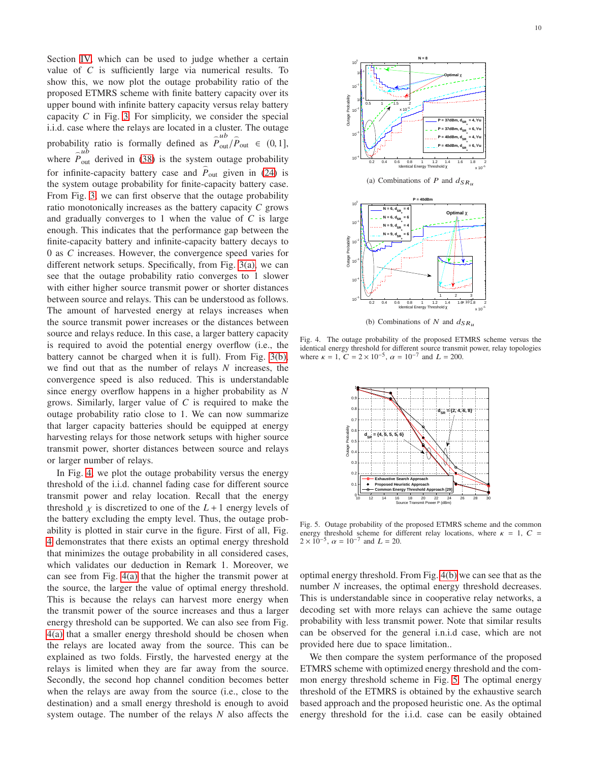Section [IV,](#page-7-3) which can be used to judge whether a certain value of *C* is sufficiently large via numerical results. To show this, we now plot the outage probability ratio of the proposed ETMRS scheme with finite battery capacity over its upper bound with infinite battery capacity versus relay battery capacity *C* in Fig. [3.](#page-8-3) For simplicity, we consider the special i.i.d. case where the relays are located in a cluster. The outage probability ratio is formally defined as  $\hat{P}_{out}^{ub}$  $_{\text{out}}^{u\bar{v}}/\hat{P}_{\text{out}} \in (0,1],$ where  $\overline{P}_{out}^{ub}$  derived in [\(38\)](#page-8-1) is the system outage probability for infinite-capacity battery case and  $\hat{P}_{out}$  given in [\(24\)](#page-5-5) is the system outage probability for finite-capacity battery case. From Fig. [3,](#page-8-3) we can first observe that the outage probability ratio monotonically increases as the battery capacity *C* grows and gradually converges to 1 when the value of *C* is large enough. This indicates that the performance gap between the finite-capacity battery and infinite-capacity battery decays to 0 as *C* increases. However, the convergence speed varies for different network setups. Specifically, from Fig. [3\(a\),](#page-8-4) we can see that the outage probability ratio converges to 1 slower with either higher source transmit power or shorter distances between source and relays. This can be understood as follows. The amount of harvested energy at relays increases when the source transmit power increases or the distances between source and relays reduce. In this case, a larger battery capacity is required to avoid the potential energy overflow (i.e., the battery cannot be charged when it is full). From Fig. [3\(b\),](#page-8-5) we find out that as the number of relays *N* increases, the convergence speed is also reduced. This is understandable since energy overflow happens in a higher probability as *N* grows. Similarly, larger value of *C* is required to make the outage probability ratio close to 1. We can now summarize that larger capacity batteries should be equipped at energy harvesting relays for those network setups with higher source transmit power, shorter distances between source and relays or larger number of relays.

In Fig. [4,](#page-9-0) we plot the outage probability versus the energy threshold of the i.i.d. channel fading case for different source transmit power and relay location. Recall that the energy threshold  $\chi$  is discretized to one of the  $L+1$  energy levels of the battery excluding the empty level. Thus, the outage probability is plotted in stair curve in the figure. First of all, Fig. [4](#page-9-0) demonstrates that there exists an optimal energy threshold that minimizes the outage probability in all considered cases, which validates our deduction in Remark 1. Moreover, we can see from Fig. [4\(a\)](#page-9-1) that the higher the transmit power at the source, the larger the value of optimal energy threshold. This is because the relays can harvest more energy when the transmit power of the source increases and thus a larger energy threshold can be supported. We can also see from Fig. [4\(a\)](#page-9-1) that a smaller energy threshold should be chosen when the relays are located away from the source. This can be explained as two folds. Firstly, the harvested energy at the relays is limited when they are far away from the source. Secondly, the second hop channel condition becomes better when the relays are away from the source (i.e., close to the destination) and a small energy threshold is enough to avoid system outage. The number of the relays *N* also affects the

<span id="page-9-1"></span>

(a) Combinations of P and  $d_{SR_u}$ 



<span id="page-9-2"></span>(b) Combinations of N and  $d_{SRu}$ 

<span id="page-9-0"></span>Fig. 4. The outage probability of the proposed ETMRS scheme versus the identical energy threshold for different source transmit power, relay topologies where  $\kappa = 1$ ,  $C = 2 \times 10^{-5}$ ,  $\alpha = 10^{-7}$  and  $L = 200$ .



<span id="page-9-3"></span>Fig. 5. Outage probability of the proposed ETMRS scheme and the common energy threshold scheme for different relay locations, where  $\kappa = 1$ ,  $C =$  $2 \times 10^{-5}$ ,  $\alpha = 10^{-7}$  and  $L = 20$ .

optimal energy threshold. From Fig. [4\(b\)](#page-9-2) we can see that as the number *N* increases, the optimal energy threshold decreases. This is understandable since in cooperative relay networks, a decoding set with more relays can achieve the same outage probability with less transmit power. Note that similar results can be observed for the general i.n.i.d case, which are not provided here due to space limitation..

We then compare the system performance of the proposed ETMRS scheme with optimized energy threshold and the common energy threshold scheme in Fig. [5.](#page-9-3) The optimal energy threshold of the ETMRS is obtained by the exhaustive search based approach and the proposed heuristic one. As the optimal energy threshold for the i.i.d. case can be easily obtained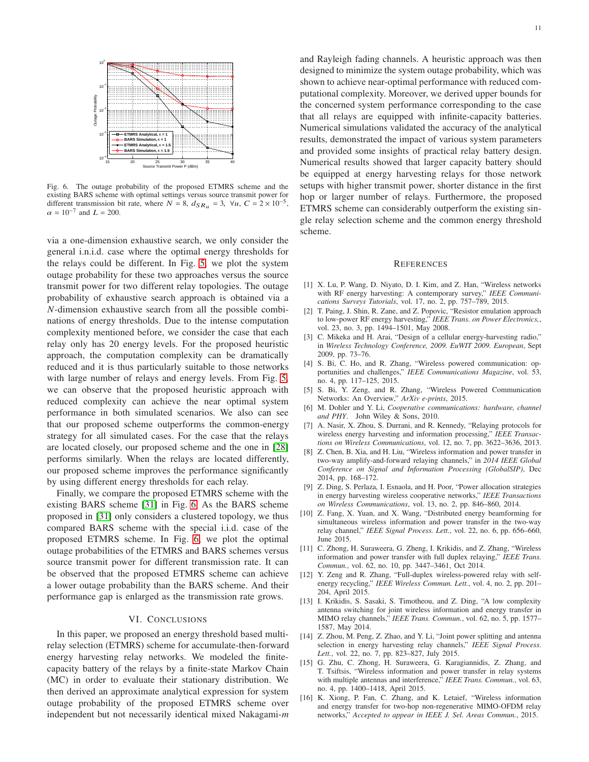

<span id="page-10-8"></span>Fig. 6. The outage probability of the proposed ETMRS scheme and the existing BARS scheme with optimal settings versus source transmit power for different transmission bit rate, where  $N = 8$ ,  $d_{SR_u} = 3$ ,  $\forall u$ ,  $C = 2 \times 10^{-5}$ ,  $\alpha = 10^{-7}$  and  $L = 200$ .

via a one-dimension exhaustive search, we only consider the general i.n.i.d. case where the optimal energy thresholds for the relays could be different. In Fig. [5,](#page-9-3) we plot the system outage probability for these two approaches versus the source transmit power for two different relay topologies. The outage probability of exhaustive search approach is obtained via a *N*-dimension exhaustive search from all the possible combinations of energy thresholds. Due to the intense computation complexity mentioned before, we consider the case that each relay only has 20 energy levels. For the proposed heuristic approach, the computation complexity can be dramatically reduced and it is thus particularly suitable to those networks with large number of relays and energy levels. From Fig. [5,](#page-9-3) we can observe that the proposed heuristic approach with reduced complexity can achieve the near optimal system performance in both simulated scenarios. We also can see that our proposed scheme outperforms the common-energy strategy for all simulated cases. For the case that the relays are located closely, our proposed scheme and the one in [\[28\]](#page-11-6) performs similarly. When the relays are located differently, our proposed scheme improves the performance significantly by using different energy thresholds for each relay.

Finally, we compare the proposed ETMRS scheme with the existing BARS scheme [\[31\]](#page-11-7) in Fig. [6.](#page-10-8) As the BARS scheme proposed in [\[31\]](#page-11-7) only considers a clustered topology, we thus compared BARS scheme with the special i.i.d. case of the proposed ETMRS scheme. In Fig. [6,](#page-10-8) we plot the optimal outage probabilities of the ETMRS and BARS schemes versus source transmit power for different transmission rate. It can be observed that the proposed ETMRS scheme can achieve a lower outage probability than the BARS scheme. And their performance gap is enlarged as the transmission rate grows.

## VI. CONCLUSIONS

In this paper, we proposed an energy threshold based multirelay selection (ETMRS) scheme for accumulate-then-forward energy harvesting relay networks. We modeled the finitecapacity battery of the relays by a finite-state Markov Chain (MC) in order to evaluate their stationary distribution. We then derived an approximate analytical expression for system outage probability of the proposed ETMRS scheme over independent but not necessarily identical mixed Nakagami-*m*

and Rayleigh fading channels. A heuristic approach was then designed to minimize the system outage probability, which was shown to achieve near-optimal performance with reduced computational complexity. Moreover, we derived upper bounds for the concerned system performance corresponding to the case that all relays are equipped with infinite-capacity batteries. Numerical simulations validated the accuracy of the analytical results, demonstrated the impact of various system parameters and provided some insights of practical relay battery design. Numerical results showed that larger capacity battery should be equipped at energy harvesting relays for those network setups with higher transmit power, shorter distance in the first hop or larger number of relays. Furthermore, the proposed ETMRS scheme can considerably outperform the existing single relay selection scheme and the common energy threshold scheme.

#### **REFERENCES**

- <span id="page-10-0"></span>[1] X. Lu, P. Wang, D. Niyato, D. I. Kim, and Z. Han, "Wireless networks with RF energy harvesting: A contemporary survey," *IEEE Communications Surveys Tutorials*, vol. 17, no. 2, pp. 757–789, 2015.
- <span id="page-10-1"></span>[2] T. Paing, J. Shin, R. Zane, and Z. Popovic, "Resistor emulation approach to low-power RF energy harvesting," *IEEE Trans. on Power Electronics,*, vol. 23, no. 3, pp. 1494–1501, May 2008.
- <span id="page-10-2"></span>[3] C. Mikeka and H. Arai, "Design of a cellular energy-harvesting radio," in *Wireless Technology Conference, 2009. EuWIT 2009. European*, Sept 2009, pp. 73–76.
- <span id="page-10-3"></span>[4] S. Bi, C. Ho, and R. Zhang, "Wireless powered communication: opportunities and challenges," *IEEE Communications Magazine*, vol. 53, no. 4, pp. 117–125, 2015.
- <span id="page-10-4"></span>[5] S. Bi, Y. Zeng, and R. Zhang, "Wireless Powered Communication Networks: An Overview," *ArXiv e-prints*, 2015.
- <span id="page-10-5"></span>[6] M. Dohler and Y. Li, *Cooperative communications: hardware, channel and PHY*. John Wiley & Sons, 2010.
- <span id="page-10-6"></span>[7] A. Nasir, X. Zhou, S. Durrani, and R. Kennedy, "Relaying protocols for wireless energy harvesting and information processing," *IEEE Transactions on Wireless Communications*, vol. 12, no. 7, pp. 3622–3636, 2013.
- <span id="page-10-7"></span>[8] Z. Chen, B. Xia, and H. Liu, "Wireless information and power transfer in two-way amplify-and-forward relaying channels," in *2014 IEEE Global Conference on Signal and Information Processing (GlobalSIP)*, Dec 2014, pp. 168–172.
- [9] Z. Ding, S. Perlaza, I. Esnaola, and H. Poor, "Power allocation strategies in energy harvesting wireless cooperative networks," *IEEE Transactions on Wireless Communications*, vol. 13, no. 2, pp. 846–860, 2014.
- [10] Z. Fang, X. Yuan, and X. Wang, "Distributed energy beamforming for simultaneous wireless information and power transfer in the two-way relay channel," *IEEE Signal Process. Lett.*, vol. 22, no. 6, pp. 656–660, June 2015.
- [11] C. Zhong, H. Suraweera, G. Zheng, I. Krikidis, and Z. Zhang, "Wireless information and power transfer with full duplex relaying," *IEEE Trans. Commun.*, vol. 62, no. 10, pp. 3447–3461, Oct 2014.
- [12] Y. Zeng and R. Zhang, "Full-duplex wireless-powered relay with selfenergy recycling," *IEEE Wireless Commun. Lett.*, vol. 4, no. 2, pp. 201– 204, April 2015.
- [13] I. Krikidis, S. Sasaki, S. Timotheou, and Z. Ding, "A low complexity antenna switching for joint wireless information and energy transfer in MIMO relay channels," *IEEE Trans. Commun.*, vol. 62, no. 5, pp. 1577– 1587, May 2014.
- [14] Z. Zhou, M. Peng, Z. Zhao, and Y. Li, "Joint power splitting and antenna selection in energy harvesting relay channels," *IEEE Signal Process. Lett.*, vol. 22, no. 7, pp. 823–827, July 2015.
- [15] G. Zhu, C. Zhong, H. Suraweera, G. Karagiannidis, Z. Zhang, and T. Tsiftsis, "Wireless information and power transfer in relay systems with multiple antennas and interference," *IEEE Trans. Commun.*, vol. 63, no. 4, pp. 1400–1418, April 2015.
- [16] K. Xiong, P. Fan, C. Zhang, and K. Letaief, "Wireless information and energy transfer for two-hop non-regenerative MIMO-OFDM relay networks," *Accepted to appear in IEEE J. Sel. Areas Commun.*, 2015.